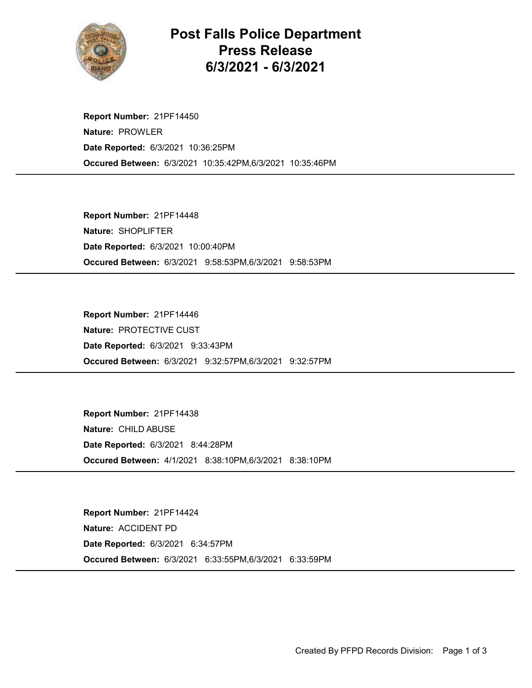

## Post Falls Police Department Press Release 6/3/2021 - 6/3/2021

Occured Between: 6/3/2021 10:35:42PM,6/3/2021 10:35:46PM Report Number: 21PF14450 Nature: PROWLER Date Reported: 6/3/2021 10:36:25PM

Occured Between: 6/3/2021 9:58:53PM,6/3/2021 9:58:53PM Report Number: 21PF14448 Nature: SHOPLIFTER Date Reported: 6/3/2021 10:00:40PM

Occured Between: 6/3/2021 9:32:57PM,6/3/2021 9:32:57PM Report Number: 21PF14446 Nature: PROTECTIVE CUST Date Reported: 6/3/2021 9:33:43PM

Occured Between: 4/1/2021 8:38:10PM,6/3/2021 8:38:10PM Report Number: 21PF14438 Nature: CHILD ABUSE Date Reported: 6/3/2021 8:44:28PM

Occured Between: 6/3/2021 6:33:55PM,6/3/2021 6:33:59PM Report Number: 21PF14424 Nature: ACCIDENT PD Date Reported: 6/3/2021 6:34:57PM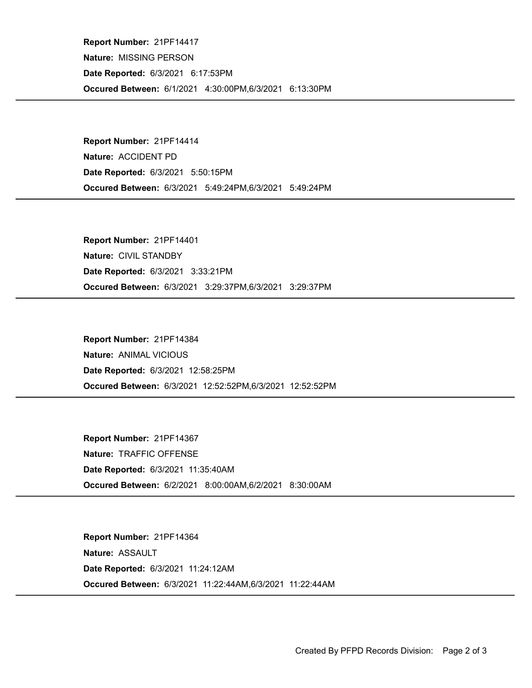Occured Between: 6/1/2021 4:30:00PM,6/3/2021 6:13:30PM Report Number: 21PF14417 Nature: MISSING PERSON Date Reported: 6/3/2021 6:17:53PM

Occured Between: 6/3/2021 5:49:24PM,6/3/2021 5:49:24PM Report Number: 21PF14414 Nature: ACCIDENT PD Date Reported: 6/3/2021 5:50:15PM

Occured Between: 6/3/2021 3:29:37PM,6/3/2021 3:29:37PM Report Number: 21PF14401 Nature: CIVIL STANDBY Date Reported: 6/3/2021 3:33:21PM

Occured Between: 6/3/2021 12:52:52PM,6/3/2021 12:52:52PM Report Number: 21PF14384 Nature: ANIMAL VICIOUS Date Reported: 6/3/2021 12:58:25PM

Occured Between: 6/2/2021 8:00:00AM,6/2/2021 8:30:00AM Report Number: 21PF14367 Nature: TRAFFIC OFFENSE Date Reported: 6/3/2021 11:35:40AM

Occured Between: 6/3/2021 11:22:44AM,6/3/2021 11:22:44AM Report Number: 21PF14364 Nature: ASSAULT Date Reported: 6/3/2021 11:24:12AM